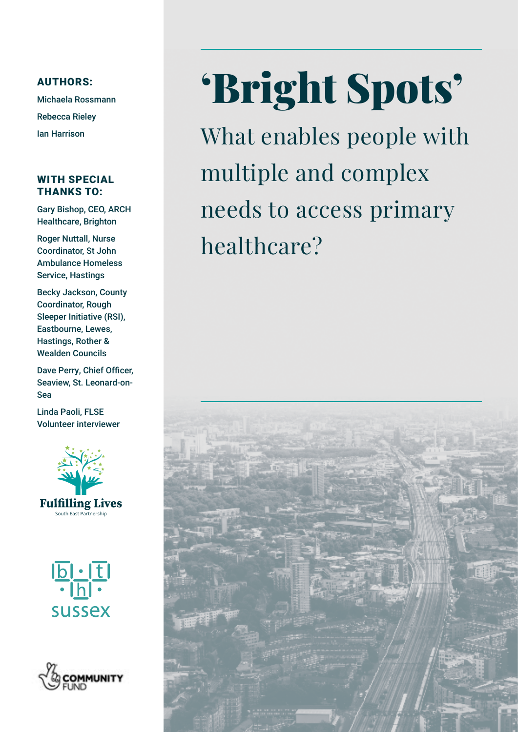### AUTHORS:

Michaela Rossmann Rebecca Rieley Ian Harrison

### WITH SPECIAL THANKS TO:

Gary Bishop, CEO, ARCH Healthcare, Brighton

Roger Nuttall, Nurse Coordinator, St John Ambulance Homeless Service, Hastings

Becky Jackson, County Coordinator, Rough Sleeper Initiative (RSI), Eastbourne, Lewes, Hastings, Rother & Wealden Councils

Dave Perry, Chief Officer, Seaview, St. Leonard-on-Sea

Linda Paoli, FLSE Volunteer interviewer







# 'Bright Spots'

What enables people with multiple and complex needs to access primary healthcare?

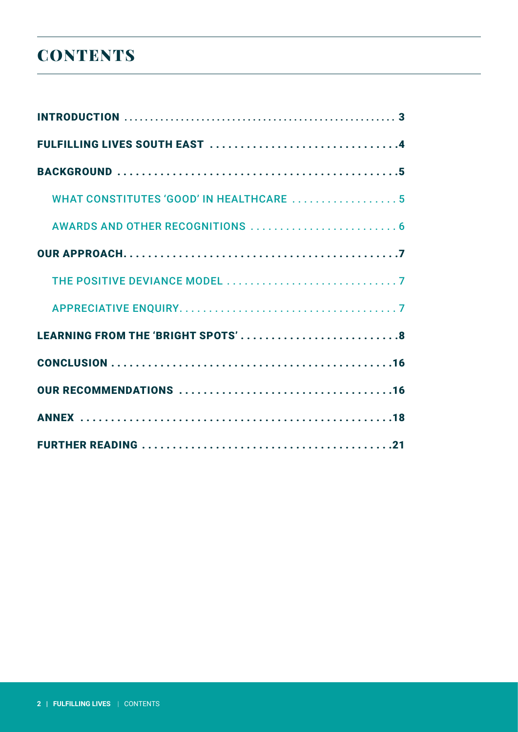# **CONTENTS**

| FULFILLING LIVES SOUTH EAST 4                   |
|-------------------------------------------------|
|                                                 |
| <b>WHAT CONSTITUTES 'GOOD' IN HEALTHCARE  5</b> |
|                                                 |
|                                                 |
|                                                 |
|                                                 |
|                                                 |
|                                                 |
|                                                 |
|                                                 |
|                                                 |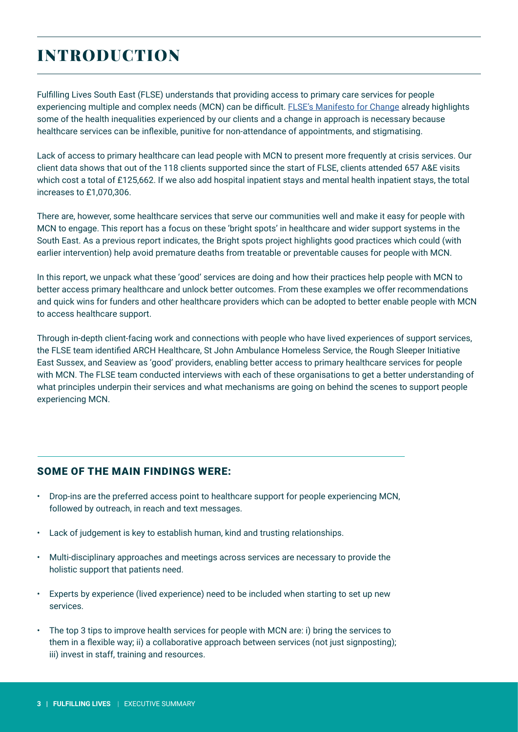# INTRODUCTION

Fulfilling Lives South East (FLSE) understands that providing access to primary care services for people experiencing multiple and complex needs (MCN) can be difficult. [FLSE's Manifesto for Change](https://www.bht.org.uk/wp-content/uploads/2019/11/Fulfilling-Lives-Manifesto-for-Change.pdf) already highlights some of the health inequalities experienced by our clients and a change in approach is necessary because healthcare services can be inflexible, punitive for non-attendance of appointments, and stigmatising.

Lack of access to primary healthcare can lead people with MCN to present more frequently at crisis services. Our client data shows that out of the 118 clients supported since the start of FLSE, clients attended 657 A&E visits which cost a total of £125,662. If we also add hospital inpatient stays and mental health inpatient stays, the total increases to £1,070,306.

There are, however, some healthcare services that serve our communities well and make it easy for people with MCN to engage. This report has a focus on these 'bright spots' in healthcare and wider support systems in the South East. As a previous report indicates, the Bright spots project highlights good practices which could (with earlier intervention) help avoid premature deaths from treatable or preventable causes for people with MCN.

In this report, we unpack what these 'good' services are doing and how their practices help people with MCN to better access primary healthcare and unlock better outcomes. From these examples we offer recommendations and quick wins for funders and other healthcare providers which can be adopted to better enable people with MCN to access healthcare support.

Through in-depth client-facing work and connections with people who have lived experiences of support services, the FLSE team identified ARCH Healthcare, St John Ambulance Homeless Service, the Rough Sleeper Initiative East Sussex, and Seaview as 'good' providers, enabling better access to primary healthcare services for people with MCN. The FLSE team conducted interviews with each of these organisations to get a better understanding of what principles underpin their services and what mechanisms are going on behind the scenes to support people experiencing MCN.

### SOME OF THE MAIN FINDINGS WERE:

- Drop-ins are the preferred access point to healthcare support for people experiencing MCN, followed by outreach, in reach and text messages.
- Lack of judgement is key to establish human, kind and trusting relationships.
- Multi-disciplinary approaches and meetings across services are necessary to provide the holistic support that patients need.
- Experts by experience (lived experience) need to be included when starting to set up new services.
- The top 3 tips to improve health services for people with MCN are: i) bring the services to them in a flexible way; ii) a collaborative approach between services (not just signposting); iii) invest in staff, training and resources.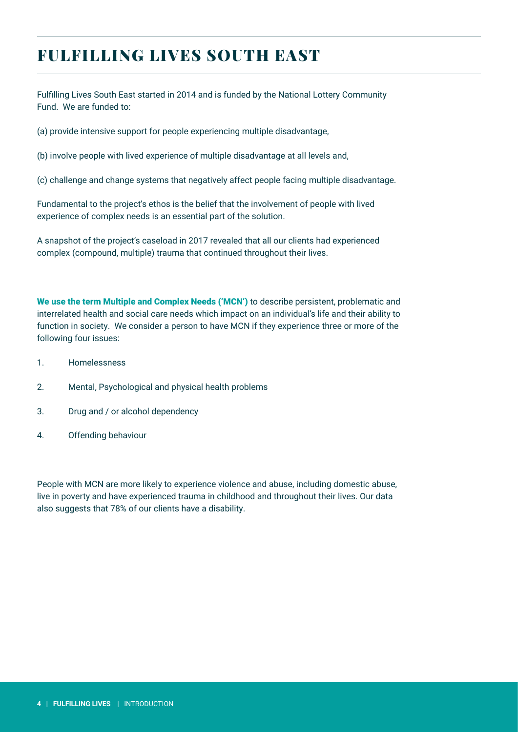# <span id="page-3-0"></span>FULFILLING LIVES SOUTH EAST

Fulfilling Lives South East started in 2014 and is funded by the National Lottery Community Fund. We are funded to:

(a) provide intensive support for people experiencing multiple disadvantage,

(b) involve people with lived experience of multiple disadvantage at all levels and,

(c) challenge and change systems that negatively affect people facing multiple disadvantage.

Fundamental to the project's ethos is the belief that the involvement of people with lived experience of complex needs is an essential part of the solution.

A snapshot of the project's caseload in 2017 revealed that all our clients had experienced complex (compound, multiple) trauma that continued throughout their lives.

We use the term Multiple and Complex Needs ('MCN') to describe persistent, problematic and interrelated health and social care needs which impact on an individual's life and their ability to function in society. We consider a person to have MCN if they experience three or more of the following four issues:

- 1. Homelessness
- 2. Mental, Psychological and physical health problems
- 3. Drug and / or alcohol dependency
- 4. Offending behaviour

People with MCN are more likely to experience violence and abuse, including domestic abuse, live in poverty and have experienced trauma in childhood and throughout their lives. Our data also suggests that 78% of our clients have a disability.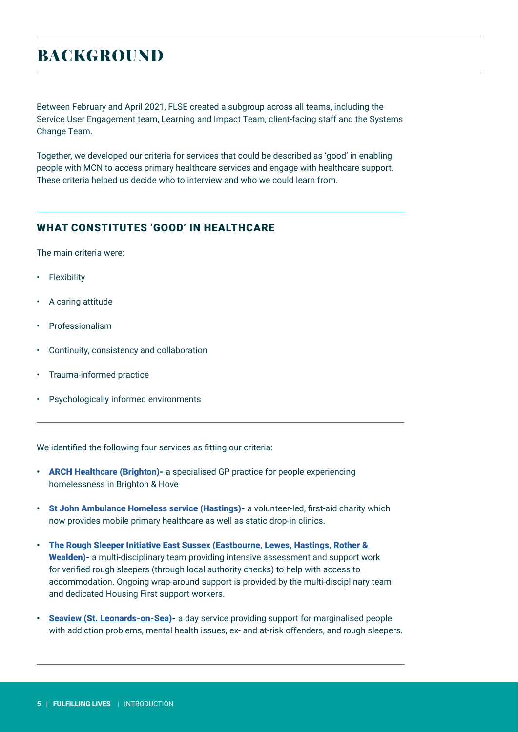# BACKGROUND

Between February and April 2021, FLSE created a subgroup across all teams, including the Service User Engagement team, Learning and Impact Team, client-facing staff and the Systems Change Team.

Together, we developed our criteria for services that could be described as 'good' in enabling people with MCN to access primary healthcare services and engage with healthcare support. These criteria helped us decide who to interview and who we could learn from.

### WHAT CONSTITUTES 'GOOD' IN HEALTHCARE

The main criteria were:

- Flexibility
- A caring attitude
- **Professionalism**
- Continuity, consistency and collaboration
- Trauma-informed practice
- Psychologically informed environments

We identified the following four services as fitting our criteria:

- **ARCH Healthcare (Brighton)** a specialised GP practice for people experiencing homelessness in Brighton & Hove
- [St John Ambulance Homeless service \(Hastings\)](https://www.sja.org.uk/what-we-do/our-work-in-the-community/our-homeless-services/hastings/) a volunteer-led, first-aid charity which now provides mobile primary healthcare as well as static drop-in clinics.
- [The Rough Sleeper Initiative East Sussex \(Eastbourne, Lewes, Hastings, Rother &](https://www.lewes-eastbourne.gov.uk/housing/help-for-people-sleeping-rough/)  [Wealden\)-](https://www.lewes-eastbourne.gov.uk/housing/help-for-people-sleeping-rough/) a multi-disciplinary team providing intensive assessment and support work for verified rough sleepers (through local authority checks) to help with access to accommodation. Ongoing wrap-around support is provided by the multi-disciplinary team and dedicated Housing First support workers.
- **[Seaview \(St. Leonards-on-Sea\)-](https://www.seaviewproject.co.uk/)** a day service providing support for marginalised people with addiction problems, mental health issues, ex- and at-risk offenders, and rough sleepers.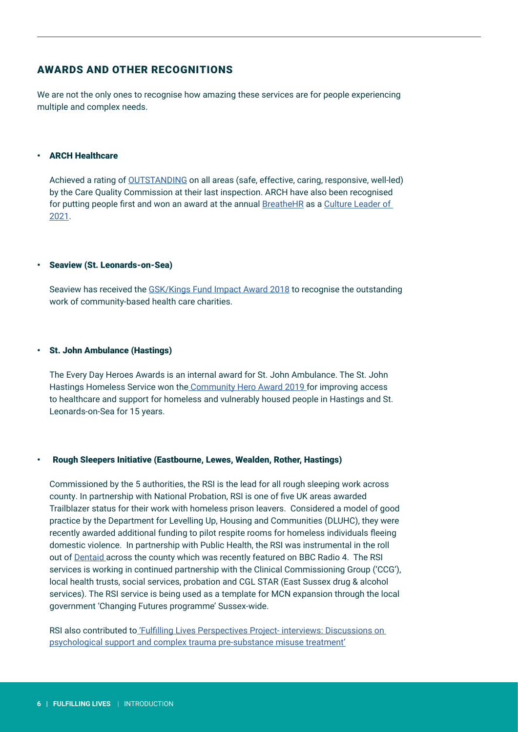### AWARDS AND OTHER RECOGNITIONS

We are not the only ones to recognise how amazing these services are for people experiencing multiple and complex needs.

#### • ARCH Healthcare

Achieved a rating of [OUTSTANDING](https://archhealthcare.uk/about-us/cqc-rating/) on all areas (safe, effective, caring, responsive, well-led) by the Care Quality Commission at their last inspection. ARCH have also been recognised for putting people first and won an award at the annual [BreatheHR](https://www.breathehr.com/en-gb/blog/topic/company-culture/culture-leaders-list-2021-winners-announcement?utm_campaign=Culture%20Leaders&utm_medium=email&_hsmi=138543332&_hsenc=p2ANqtz-99b1CksxB1UFGxE4VqhDLkIdK_YqLOutTTnz_3NqydsLxYySuhDHkw19YLitTZiN-4ruUXBCNN-LKwgfZIEk_M9N1J5A&utm_content=138543332&utm_source=hs_email) as a Culture Leader of [2021](https://archhealthcare.uk/arch-news/an-award-winning-workplace/).

#### • Seaview (St. Leonards-on-Sea)

Seaview has received the [GSK/Kings Fund Impact Award 2018](https://www.kingsfund.org.uk/projects/gsk-impact-awards/2018-gsk-impact-award-winners) to recognise the outstanding work of community-based health care charities.

#### • St. John Ambulance (Hastings)

The Every Day Heroes Awards is an internal award for St. John Ambulance. The St. John Hastings Homeless Service won the [Community Hero Award 2019](https://www.sja.org.uk/press-centre/news-stories/outstanding-young-life-savers-recognised-at-the-st-john-ambulance-everyday-heroes-awards-2019/) for improving access to healthcare and support for homeless and vulnerably housed people in Hastings and St. Leonards-on-Sea for 15 years.

#### • Rough Sleepers Initiative (Eastbourne, Lewes, Wealden, Rother, Hastings)

Commissioned by the 5 authorities, the RSI is the lead for all rough sleeping work across county. In partnership with National Probation, RSI is one of five UK areas awarded Trailblazer status for their work with homeless prison leavers. Considered a model of good practice by the Department for Levelling Up, Housing and Communities (DLUHC), they were recently awarded additional funding to pilot respite rooms for homeless individuals fleeing domestic violence. In partnership with Public Health, the RSI was instrumental in the roll out of [Dentaid](https://www.dentaid.org/) across the county which was recently featured on BBC Radio 4. The RSI services is working in continued partnership with the Clinical Commissioning Group ('CCG'), local health trusts, social services, probation and CGL STAR (East Sussex drug & alcohol services). The RSI service is being used as a template for MCN expansion through the local government 'Changing Futures programme' Sussex-wide.

RSI also contributed to ['Fulfilling Lives Perspectives Project- interviews: Discussions on](https://www.bht.org.uk/wp-content/uploads/2021/03/Perspectives-Project-Profile-Interviews-03.03.21.pdf)  [psychological support and complex trauma pre-substance misuse treatment'](https://www.bht.org.uk/wp-content/uploads/2021/03/Perspectives-Project-Profile-Interviews-03.03.21.pdf)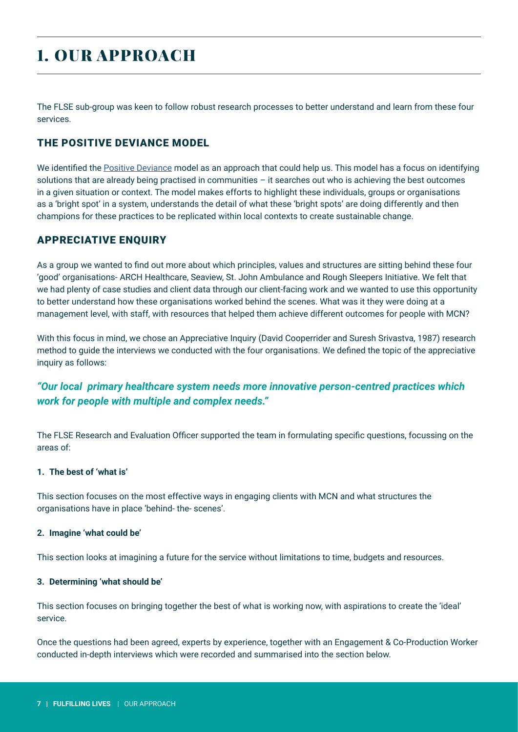# 1. OUR APPROACH

The FLSE sub-group was keen to follow robust research processes to better understand and learn from these four services.

### THE POSITIVE DEVIANCE MODEL

We identified the [Positive Deviance](https://www.betterevaluation.org/en/plan/approach/positive_deviance) model as an approach that could help us. This model has a focus on identifying solutions that are already being practised in communities – it searches out who is achieving the best outcomes in a given situation or context. The model makes efforts to highlight these individuals, groups or organisations as a 'bright spot' in a system, understands the detail of what these 'bright spots' are doing differently and then champions for these practices to be replicated within local contexts to create sustainable change.

### APPRECIATIVE ENQUIRY

As a group we wanted to find out more about which principles, values and structures are sitting behind these four 'good' organisations- ARCH Healthcare, Seaview, St. John Ambulance and Rough Sleepers Initiative. We felt that we had plenty of case studies and client data through our client-facing work and we wanted to use this opportunity to better understand how these organisations worked behind the scenes. What was it they were doing at a management level, with staff, with resources that helped them achieve different outcomes for people with MCN?

With this focus in mind, we chose an Appreciative Inquiry (David Cooperrider and Suresh Srivastva, 1987) research method to guide the interviews we conducted with the four organisations. We defined the topic of the appreciative inquiry as follows:

### *"Our local primary healthcare system needs more innovative person-centred practices which work for people with multiple and complex needs."*

The FLSE Research and Evaluation Officer supported the team in formulating specific questions, focussing on the areas of:

### **1. The best of 'what is'**

This section focuses on the most effective ways in engaging clients with MCN and what structures the organisations have in place 'behind- the- scenes'.

### **2. Imagine 'what could be'**

This section looks at imagining a future for the service without limitations to time, budgets and resources.

### **3. Determining 'what should be'**

This section focuses on bringing together the best of what is working now, with aspirations to create the 'ideal' service.

Once the questions had been agreed, experts by experience, together with an Engagement & Co-Production Worker conducted in-depth interviews which were recorded and summarised into the section below.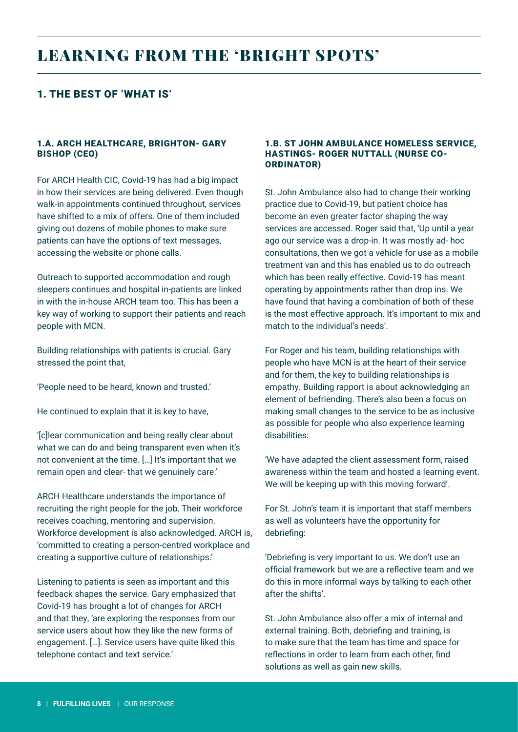### 1. THE BEST OF 'WHAT IS'

### 1.A. ARCH HEALTHCARE, BRIGHTON- GARY BISHOP (CEO)

For ARCH Health CIC, Covid-19 has had a big impact in how their services are being delivered. Even though walk-in appointments continued throughout, services have shifted to a mix of offers. One of them included giving out dozens of mobile phones to make sure patients can have the options of text messages, accessing the website or phone calls.

Outreach to supported accommodation and rough sleepers continues and hospital in-patients are linked in with the in-house ARCH team too. This has been a key way of working to support their patients and reach people with MCN.

Building relationships with patients is crucial. Gary stressed the point that,

'People need to be heard, known and trusted.'

He continued to explain that it is key to have,

'[c]lear communication and being really clear about what we can do and being transparent even when it's not convenient at the time. […] It's important that we remain open and clear- that we genuinely care.'

ARCH Healthcare understands the importance of recruiting the right people for the job. Their workforce receives coaching, mentoring and supervision. Workforce development is also acknowledged. ARCH is, 'committed to creating a person-centred workplace and creating a supportive culture of relationships.'

Listening to patients is seen as important and this feedback shapes the service. Gary emphasized that Covid-19 has brought a lot of changes for ARCH and that they, 'are exploring the responses from our service users about how they like the new forms of engagement. […]. Service users have quite liked this telephone contact and text service.'

#### 1.B. ST JOHN AMBULANCE HOMELESS SERVICE, HASTINGS- ROGER NUTTALL (NURSE CO-ORDINATOR)

St. John Ambulance also had to change their working practice due to Covid-19, but patient choice has become an even greater factor shaping the way services are accessed. Roger said that, 'Up until a year ago our service was a drop-in. It was mostly ad- hoc consultations, then we got a vehicle for use as a mobile treatment van and this has enabled us to do outreach which has been really effective. Covid-19 has meant operating by appointments rather than drop ins. We have found that having a combination of both of these is the most effective approach. It's important to mix and match to the individual's needs'.

For Roger and his team, building relationships with people who have MCN is at the heart of their service and for them, the key to building relationships is empathy. Building rapport is about acknowledging an element of befriending. There's also been a focus on making small changes to the service to be as inclusive as possible for people who also experience learning disabilities:

'We have adapted the client assessment form, raised awareness within the team and hosted a learning event. We will be keeping up with this moving forward'.

For St. John's team it is important that staff members as well as volunteers have the opportunity for debriefing:

'Debriefing is very important to us. We don't use an official framework but we are a reflective team and we do this in more informal ways by talking to each other after the shifts'.

St. John Ambulance also offer a mix of internal and external training. Both, debriefing and training, is to make sure that the team has time and space for reflections in order to learn from each other, find solutions as well as gain new skills.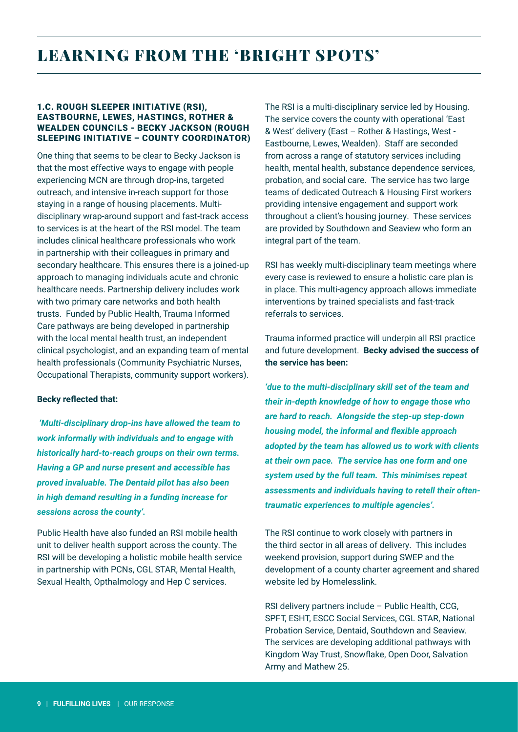### 1.C. ROUGH SLEEPER INITIATIVE (RSI), EASTBOURNE, LEWES, HASTINGS, ROTHER & WEALDEN COUNCILS - BECKY JACKSON (ROUGH SLEEPING INITIATIVE – COUNTY COORDINATOR)

One thing that seems to be clear to Becky Jackson is that the most effective ways to engage with people experiencing MCN are through drop-ins, targeted outreach, and intensive in-reach support for those staying in a range of housing placements. Multidisciplinary wrap-around support and fast-track access to services is at the heart of the RSI model. The team includes clinical healthcare professionals who work in partnership with their colleagues in primary and secondary healthcare. This ensures there is a joined-up approach to managing individuals acute and chronic healthcare needs. Partnership delivery includes work with two primary care networks and both health trusts. Funded by Public Health, Trauma Informed Care pathways are being developed in partnership with the local mental health trust, an independent clinical psychologist, and an expanding team of mental health professionals (Community Psychiatric Nurses, Occupational Therapists, community support workers).

### **Becky reflected that:**

 *'Multi-disciplinary drop-ins have allowed the team to work informally with individuals and to engage with historically hard-to-reach groups on their own terms. Having a GP and nurse present and accessible has proved invaluable. The Dentaid pilot has also been in high demand resulting in a funding increase for sessions across the county'.* 

Public Health have also funded an RSI mobile health unit to deliver health support across the county. The RSI will be developing a holistic mobile health service in partnership with PCNs, CGL STAR, Mental Health, Sexual Health, Opthalmology and Hep C services.

The RSI is a multi-disciplinary service led by Housing. The service covers the county with operational 'East & West' delivery (East – Rother & Hastings, West - Eastbourne, Lewes, Wealden). Staff are seconded from across a range of statutory services including health, mental health, substance dependence services, probation, and social care. The service has two large teams of dedicated Outreach & Housing First workers providing intensive engagement and support work throughout a client's housing journey. These services are provided by Southdown and Seaview who form an integral part of the team.

RSI has weekly multi-disciplinary team meetings where every case is reviewed to ensure a holistic care plan is in place. This multi-agency approach allows immediate interventions by trained specialists and fast-track referrals to services.

Trauma informed practice will underpin all RSI practice and future development. **Becky advised the success of the service has been:** 

*'due to the multi-disciplinary skill set of the team and their in-depth knowledge of how to engage those who are hard to reach. Alongside the step-up step-down housing model, the informal and flexible approach adopted by the team has allowed us to work with clients at their own pace. The service has one form and one system used by the full team. This minimises repeat assessments and individuals having to retell their oftentraumatic experiences to multiple agencies'.* 

The RSI continue to work closely with partners in the third sector in all areas of delivery. This includes weekend provision, support during SWEP and the development of a county charter agreement and shared website led by Homelesslink.

RSI delivery partners include – Public Health, CCG, SPFT, ESHT, ESCC Social Services, CGL STAR, National Probation Service, Dentaid, Southdown and Seaview. The services are developing additional pathways with Kingdom Way Trust, Snowflake, Open Door, Salvation Army and Mathew 25.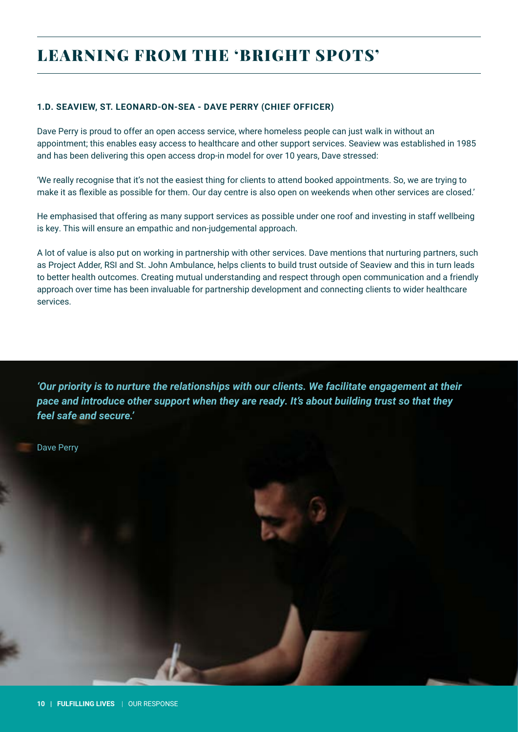### **1.D. SEAVIEW, ST. LEONARD-ON-SEA - DAVE PERRY (CHIEF OFFICER)**

Dave Perry is proud to offer an open access service, where homeless people can just walk in without an appointment; this enables easy access to healthcare and other support services. Seaview was established in 1985 and has been delivering this open access drop-in model for over 10 years, Dave stressed:

'We really recognise that it's not the easiest thing for clients to attend booked appointments. So, we are trying to make it as flexible as possible for them. Our day centre is also open on weekends when other services are closed.'

He emphasised that offering as many support services as possible under one roof and investing in staff wellbeing is key. This will ensure an empathic and non-judgemental approach.

A lot of value is also put on working in partnership with other services. Dave mentions that nurturing partners, such as Project Adder, RSI and St. John Ambulance, helps clients to build trust outside of Seaview and this in turn leads to better health outcomes. Creating mutual understanding and respect through open communication and a friendly approach over time has been invaluable for partnership development and connecting clients to wider healthcare services.

*'Our priority is to nurture the relationships with our clients. We facilitate engagement at their pace and introduce other support when they are ready. It's about building trust so that they feel safe and secure.'* 

Dave Perry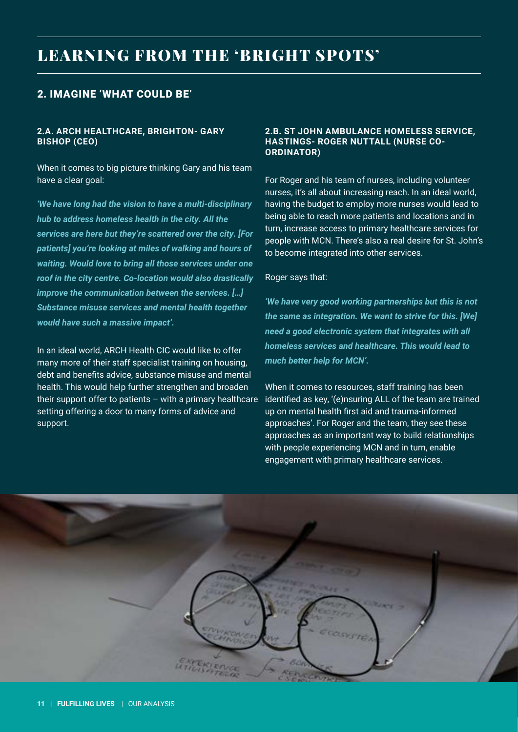### 2. IMAGINE 'WHAT COULD BE'

### **2.A. ARCH HEALTHCARE, BRIGHTON- GARY BISHOP (CEO)**

When it comes to big picture thinking Gary and his team have a clear goal:

*'We have long had the vision to have a multi-disciplinary hub to address homeless health in the city. All the services are here but they're scattered over the city. [For patients] you're looking at miles of walking and hours of waiting. Would love to bring all those services under one roof in the city centre. Co-location would also drastically improve the communication between the services. […] Substance misuse services and mental health together would have such a massive impact'.*

In an ideal world, ARCH Health CIC would like to offer many more of their staff specialist training on housing, debt and benefits advice, substance misuse and mental health. This would help further strengthen and broaden their support offer to patients – with a primary healthcare setting offering a door to many forms of advice and support.

### **2.B. ST JOHN AMBULANCE HOMELESS SERVICE, HASTINGS- ROGER NUTTALL (NURSE CO-ORDINATOR)**

For Roger and his team of nurses, including volunteer nurses, it's all about increasing reach. In an ideal world, having the budget to employ more nurses would lead to being able to reach more patients and locations and in turn, increase access to primary healthcare services for people with MCN. There's also a real desire for St. John's to become integrated into other services.

#### Roger says that:

*'We have very good working partnerships but this is not the same as integration. We want to strive for this. [We] need a good electronic system that integrates with all homeless services and healthcare. This would lead to much better help for MCN'.* 

When it comes to resources, staff training has been identified as key, '(e)nsuring ALL of the team are trained up on mental health first aid and trauma-informed approaches'. For Roger and the team, they see these approaches as an important way to build relationships with people experiencing MCN and in turn, enable engagement with primary healthcare services.

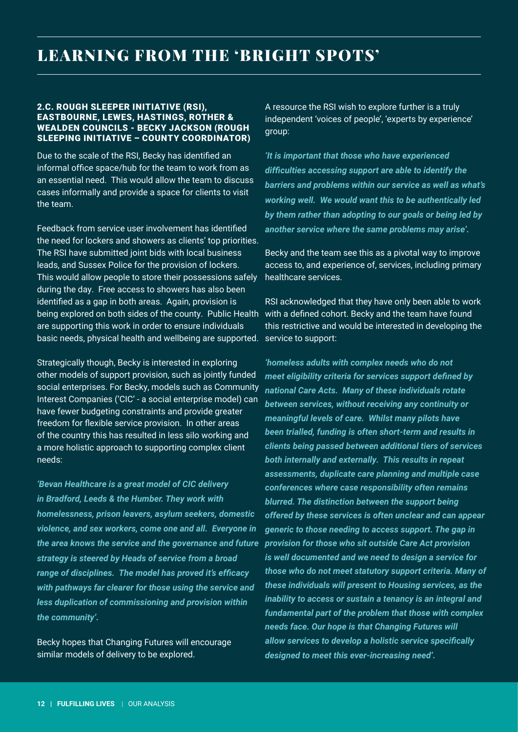#### 2.C. ROUGH SLEEPER INITIATIVE (RSI), EASTBOURNE, LEWES, HASTINGS, ROTHER & WEALDEN COUNCILS - BECKY JACKSON (ROUGH SLEEPING INITIATIVE – COUNTY COORDINATOR)

Due to the scale of the RSI, Becky has identified an informal office space/hub for the team to work from as an essential need. This would allow the team to discuss cases informally and provide a space for clients to visit the team.

Feedback from service user involvement has identified the need for lockers and showers as clients' top priorities. The RSI have submitted joint bids with local business leads, and Sussex Police for the provision of lockers. This would allow people to store their possessions safely during the day. Free access to showers has also been identified as a gap in both areas. Again, provision is being explored on both sides of the county. Public Health with a defined cohort. Becky and the team have found are supporting this work in order to ensure individuals basic needs, physical health and wellbeing are supported.

Strategically though, Becky is interested in exploring other models of support provision, such as jointly funded social enterprises. For Becky, models such as Community Interest Companies ('CIC' - a social enterprise model) can have fewer budgeting constraints and provide greater freedom for flexible service provision. In other areas of the country this has resulted in less silo working and a more holistic approach to supporting complex client needs:

*'Bevan Healthcare is a great model of CIC delivery in Bradford, Leeds & the Humber. They work with homelessness, prison leavers, asylum seekers, domestic violence, and sex workers, come one and all. Everyone in the area knows the service and the governance and future provision for those who sit outside Care Act provision strategy is steered by Heads of service from a broad range of disciplines. The model has proved it's efficacy with pathways far clearer for those using the service and less duplication of commissioning and provision within the community'.* 

Becky hopes that Changing Futures will encourage similar models of delivery to be explored.

A resource the RSI wish to explore further is a truly independent 'voices of people', 'experts by experience' group:

*'It is important that those who have experienced difficulties accessing support are able to identify the barriers and problems within our service as well as what's working well. We would want this to be authentically led by them rather than adopting to our goals or being led by another service where the same problems may arise'.* 

Becky and the team see this as a pivotal way to improve access to, and experience of, services, including primary healthcare services.

RSI acknowledged that they have only been able to work this restrictive and would be interested in developing the service to support:

*'homeless adults with complex needs who do not meet eligibility criteria for services support defined by national Care Acts. Many of these individuals rotate between services, without receiving any continuity or meaningful levels of care. Whilst many pilots have been trialled, funding is often short-term and results in clients being passed between additional tiers of services both internally and externally. This results in repeat assessments, duplicate care planning and multiple case conferences where case responsibility often remains blurred. The distinction between the support being offered by these services is often unclear and can appear generic to those needing to access support. The gap in is well documented and we need to design a service for those who do not meet statutory support criteria. Many of these individuals will present to Housing services, as the inability to access or sustain a tenancy is an integral and fundamental part of the problem that those with complex needs face. Our hope is that Changing Futures will allow services to develop a holistic service specifically designed to meet this ever-increasing need'.*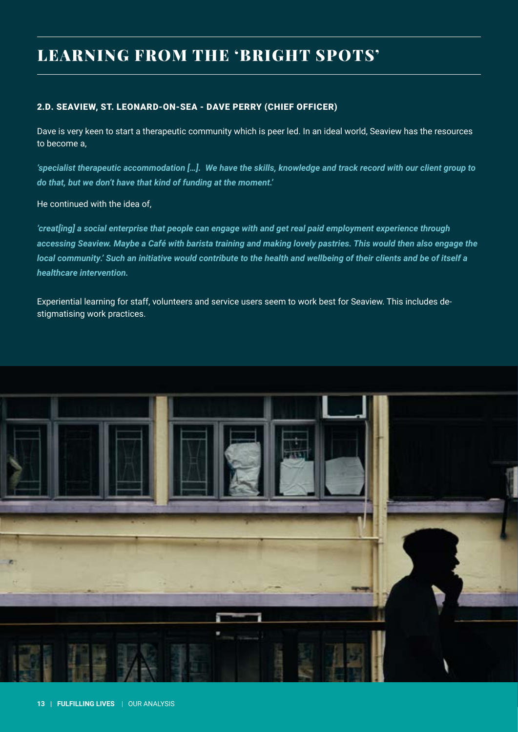### 2.D. SEAVIEW, ST. LEONARD-ON-SEA - DAVE PERRY (CHIEF OFFICER)

Dave is very keen to start a therapeutic community which is peer led. In an ideal world, Seaview has the resources to become a,

*'specialist therapeutic accommodation […]. We have the skills, knowledge and track record with our client group to do that, but we don't have that kind of funding at the moment.'* 

He continued with the idea of,

*'creat[ing] a social enterprise that people can engage with and get real paid employment experience through accessing Seaview. Maybe a Café with barista training and making lovely pastries. This would then also engage the local community.' Such an initiative would contribute to the health and wellbeing of their clients and be of itself a healthcare intervention.* 

Experiential learning for staff, volunteers and service users seem to work best for Seaview. This includes destigmatising work practices.

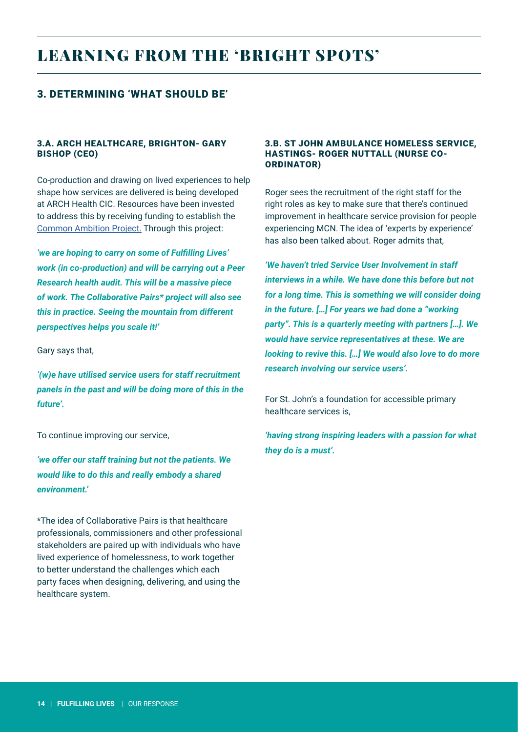### 3. DETERMINING 'WHAT SHOULD BE'

### 3.A. ARCH HEALTHCARE, BRIGHTON- GARY BISHOP (CEO)

Co-production and drawing on lived experiences to help shape how services are delivered is being developed at ARCH Health CIC. Resources have been invested to address this by receiving funding to establish the [Common Ambition Project.](https://archhealthcare.uk/common-ambition/common-ambition-launch/) Through this project:

*'we are hoping to carry on some of Fulfilling Lives' work (in co-production) and will be carrying out a Peer Research health audit. This will be a massive piece of work. The Collaborative Pairs\* project will also see this in practice. Seeing the mountain from different perspectives helps you scale it!'*

Gary says that,

*'(w)e have utilised service users for staff recruitment panels in the past and will be doing more of this in the future'.*

To continue improving our service,

*'we offer our staff training but not the patients. We would like to do this and really embody a shared environment.'* 

\*The idea of Collaborative Pairs is that healthcare professionals, commissioners and other professional stakeholders are paired up with individuals who have lived experience of homelessness, to work together to better understand the challenges which each party faces when designing, delivering, and using the healthcare system.

#### 3.B. ST JOHN AMBULANCE HOMELESS SERVICE, HASTINGS- ROGER NUTTALL (NURSE CO-ORDINATOR)

Roger sees the recruitment of the right staff for the right roles as key to make sure that there's continued improvement in healthcare service provision for people experiencing MCN. The idea of 'experts by experience' has also been talked about. Roger admits that,

*'We haven't tried Service User Involvement in staff interviews in a while. We have done this before but not for a long time. This is something we will consider doing in the future. […] For years we had done a "working party". This is a quarterly meeting with partners […]. We would have service representatives at these. We are looking to revive this. […] We would also love to do more research involving our service users'.* 

For St. John's a foundation for accessible primary healthcare services is,

*'having strong inspiring leaders with a passion for what they do is a must'.*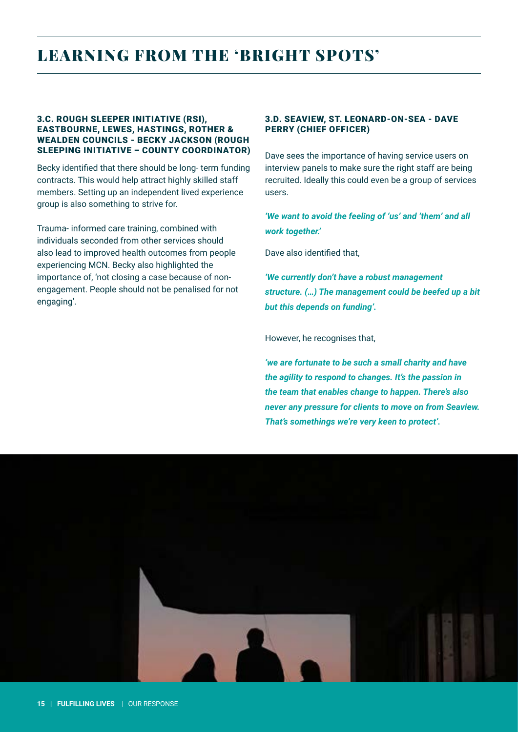#### 3.C. ROUGH SLEEPER INITIATIVE (RSI), EASTBOURNE, LEWES, HASTINGS, ROTHER & WEALDEN COUNCILS - BECKY JACKSON (ROUGH SLEEPING INITIATIVE – COUNTY COORDINATOR)

Becky identified that there should be long- term funding contracts. This would help attract highly skilled staff members. Setting up an independent lived experience group is also something to strive for.

Trauma- informed care training, combined with individuals seconded from other services should also lead to improved health outcomes from people experiencing MCN. Becky also highlighted the importance of, 'not closing a case because of nonengagement. People should not be penalised for not engaging'.

### 3.D. SEAVIEW, ST. LEONARD-ON-SEA - DAVE PERRY (CHIEF OFFICER)

Dave sees the importance of having service users on interview panels to make sure the right staff are being recruited. Ideally this could even be a group of services users.

*'We want to avoid the feeling of 'us' and 'them' and all work together.'* 

Dave also identified that,

*'We currently don't have a robust management structure. (…) The management could be beefed up a bit but this depends on funding'.* 

However, he recognises that,

*'we are fortunate to be such a small charity and have the agility to respond to changes. It's the passion in the team that enables change to happen. There's also never any pressure for clients to move on from Seaview. That's somethings we're very keen to protect'.*

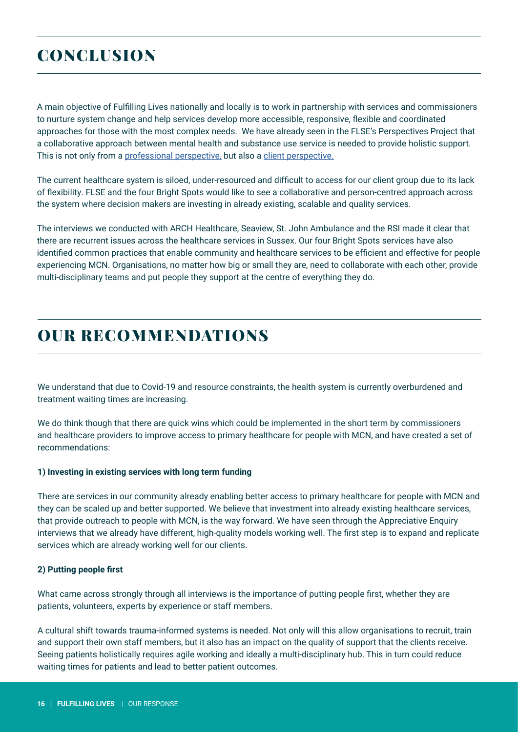# **CONCLUSION**

A main objective of Fulfilling Lives nationally and locally is to work in partnership with services and commissioners to nurture system change and help services develop more accessible, responsive, flexible and coordinated approaches for those with the most complex needs. We have already seen in the FLSE's Perspectives Project that a collaborative approach between mental health and substance use service is needed to provide holistic support. This is not only from a [professional perspective,](https://www.bht.org.uk/wp-content/uploads/2021/02/Fulfilling-Lives-T4-Psychological-Interviews-V22-1.pdf) but also a [client perspective.](https://www.bht.org.uk/wp-content/uploads/2021/05/Fulfilling-Lives-T4-Perspectives-pt-II-V9.pdf)

The current healthcare system is siloed, under-resourced and difficult to access for our client group due to its lack of flexibility. FLSE and the four Bright Spots would like to see a collaborative and person-centred approach across the system where decision makers are investing in already existing, scalable and quality services.

The interviews we conducted with ARCH Healthcare, Seaview, St. John Ambulance and the RSI made it clear that there are recurrent issues across the healthcare services in Sussex. Our four Bright Spots services have also identified common practices that enable community and healthcare services to be efficient and effective for people experiencing MCN. Organisations, no matter how big or small they are, need to collaborate with each other, provide multi-disciplinary teams and put people they support at the centre of everything they do.

# OUR RECOMMENDATIONS

We understand that due to Covid-19 and resource constraints, the health system is currently overburdened and treatment waiting times are increasing.

We do think though that there are quick wins which could be implemented in the short term by commissioners and healthcare providers to improve access to primary healthcare for people with MCN, and have created a set of recommendations:

### **1) Investing in existing services with long term funding**

There are services in our community already enabling better access to primary healthcare for people with MCN and they can be scaled up and better supported. We believe that investment into already existing healthcare services, that provide outreach to people with MCN, is the way forward. We have seen through the Appreciative Enquiry interviews that we already have different, high-quality models working well. The first step is to expand and replicate services which are already working well for our clients.

### **2) Putting people first**

What came across strongly through all interviews is the importance of putting people first, whether they are patients, volunteers, experts by experience or staff members.

A cultural shift towards trauma-informed systems is needed. Not only will this allow organisations to recruit, train and support their own staff members, but it also has an impact on the quality of support that the clients receive. Seeing patients holistically requires agile working and ideally a multi-disciplinary hub. This in turn could reduce waiting times for patients and lead to better patient outcomes.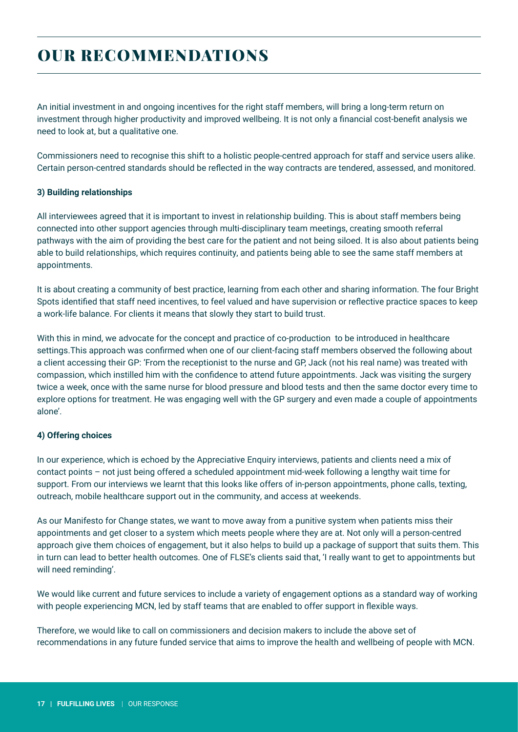# OUR RECOMMENDATIONS

An initial investment in and ongoing incentives for the right staff members, will bring a long-term return on investment through higher productivity and improved wellbeing. It is not only a financial cost-benefit analysis we need to look at, but a qualitative one.

Commissioners need to recognise this shift to a holistic people-centred approach for staff and service users alike. Certain person-centred standards should be reflected in the way contracts are tendered, assessed, and monitored.

### **3) Building relationships**

All interviewees agreed that it is important to invest in relationship building. This is about staff members being connected into other support agencies through multi-disciplinary team meetings, creating smooth referral pathways with the aim of providing the best care for the patient and not being siloed. It is also about patients being able to build relationships, which requires continuity, and patients being able to see the same staff members at appointments.

It is about creating a community of best practice, learning from each other and sharing information. The four Bright Spots identified that staff need incentives, to feel valued and have supervision or reflective practice spaces to keep a work-life balance. For clients it means that slowly they start to build trust.

With this in mind, we advocate for the concept and practice of co-production to be introduced in healthcare settings.This approach was confirmed when one of our client-facing staff members observed the following about a client accessing their GP: 'From the receptionist to the nurse and GP, Jack (not his real name) was treated with compassion, which instilled him with the confidence to attend future appointments. Jack was visiting the surgery twice a week, once with the same nurse for blood pressure and blood tests and then the same doctor every time to explore options for treatment. He was engaging well with the GP surgery and even made a couple of appointments alone'.

### **4) Offering choices**

In our experience, which is echoed by the Appreciative Enquiry interviews, patients and clients need a mix of contact points – not just being offered a scheduled appointment mid-week following a lengthy wait time for support. From our interviews we learnt that this looks like offers of in-person appointments, phone calls, texting, outreach, mobile healthcare support out in the community, and access at weekends.

As our Manifesto for Change states, we want to move away from a punitive system when patients miss their appointments and get closer to a system which meets people where they are at. Not only will a person-centred approach give them choices of engagement, but it also helps to build up a package of support that suits them. This in turn can lead to better health outcomes. One of FLSE's clients said that, 'I really want to get to appointments but will need reminding'.

We would like current and future services to include a variety of engagement options as a standard way of working with people experiencing MCN, led by staff teams that are enabled to offer support in flexible ways.

Therefore, we would like to call on commissioners and decision makers to include the above set of recommendations in any future funded service that aims to improve the health and wellbeing of people with MCN.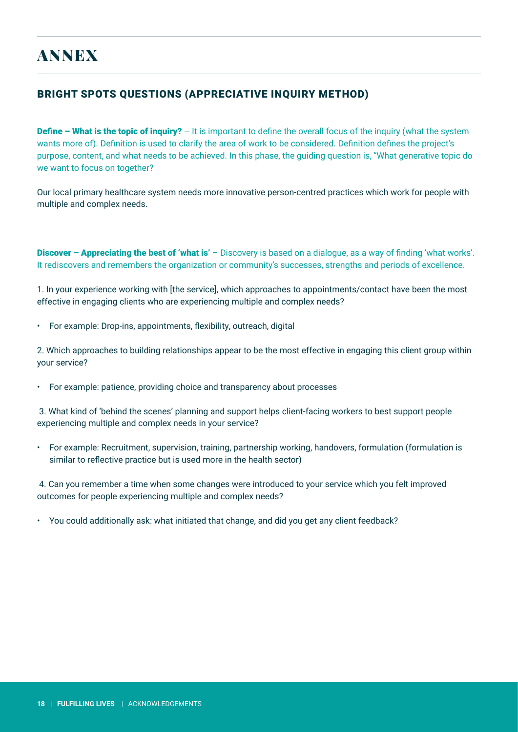### BRIGHT SPOTS QUESTIONS (APPRECIATIVE INQUIRY METHOD)

**Define – What is the topic of inquiry?** – It is important to define the overall focus of the inquiry (what the system wants more of). Definition is used to clarify the area of work to be considered. Definition defines the project's purpose, content, and what needs to be achieved. In this phase, the guiding question is, "What generative topic do we want to focus on together?

Our local primary healthcare system needs more innovative person-centred practices which work for people with multiple and complex needs.

**Discover – Appreciating the best of 'what is'** – Discovery is based on a dialogue, as a way of finding 'what works'. It rediscovers and remembers the organization or community's successes, strengths and periods of excellence.

1. In your experience working with [the service], which approaches to appointments/contact have been the most effective in engaging clients who are experiencing multiple and complex needs?

• For example: Drop-ins, appointments, flexibility, outreach, digital

2. Which approaches to building relationships appear to be the most effective in engaging this client group within your service?

• For example: patience, providing choice and transparency about processes

 3. What kind of 'behind the scenes' planning and support helps client-facing workers to best support people experiencing multiple and complex needs in your service?

• For example: Recruitment, supervision, training, partnership working, handovers, formulation (formulation is similar to reflective practice but is used more in the health sector)

 4. Can you remember a time when some changes were introduced to your service which you felt improved outcomes for people experiencing multiple and complex needs?

• You could additionally ask: what initiated that change, and did you get any client feedback?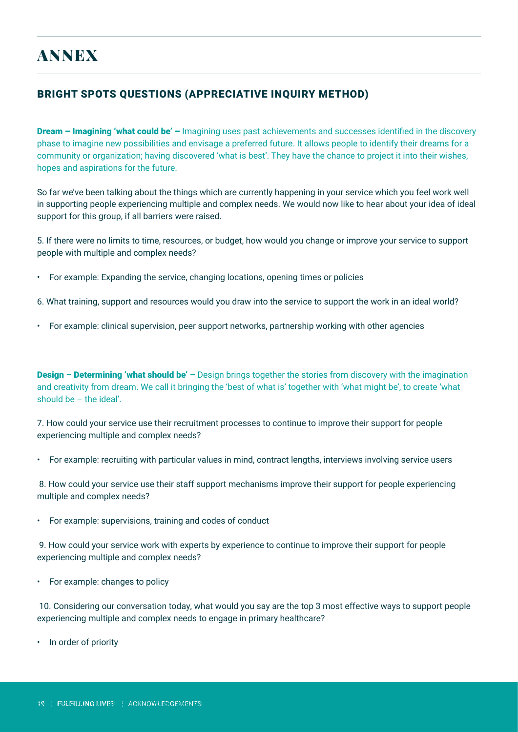### BRIGHT SPOTS QUESTIONS (APPRECIATIVE INQUIRY METHOD)

**Dream – Imagining 'what could be'** – Imagining uses past achievements and successes identified in the discovery phase to imagine new possibilities and envisage a preferred future. It allows people to identify their dreams for a community or organization; having discovered 'what is best'. They have the chance to project it into their wishes, hopes and aspirations for the future.

So far we've been talking about the things which are currently happening in your service which you feel work well in supporting people experiencing multiple and complex needs. We would now like to hear about your idea of ideal support for this group, if all barriers were raised.

5. If there were no limits to time, resources, or budget, how would you change or improve your service to support people with multiple and complex needs?

• For example: Expanding the service, changing locations, opening times or policies

6. What training, support and resources would you draw into the service to support the work in an ideal world?

• For example: clinical supervision, peer support networks, partnership working with other agencies

**Design – Determining 'what should be'** – Design brings together the stories from discovery with the imagination and creativity from dream. We call it bringing the 'best of what is' together with 'what might be', to create 'what should be – the ideal'.

7. How could your service use their recruitment processes to continue to improve their support for people experiencing multiple and complex needs?

• For example: recruiting with particular values in mind, contract lengths, interviews involving service users

 8. How could your service use their staff support mechanisms improve their support for people experiencing multiple and complex needs?

• For example: supervisions, training and codes of conduct

 9. How could your service work with experts by experience to continue to improve their support for people experiencing multiple and complex needs?

• For example: changes to policy

 10. Considering our conversation today, what would you say are the top 3 most effective ways to support people experiencing multiple and complex needs to engage in primary healthcare?

• In order of priority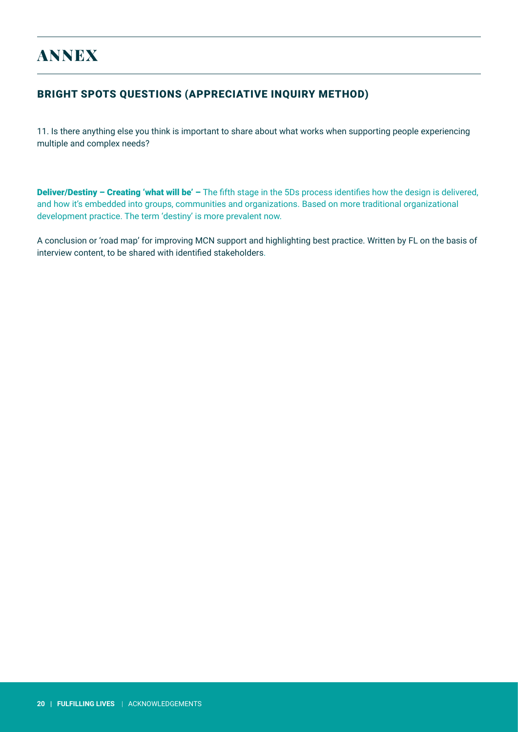# ANNEX

### BRIGHT SPOTS QUESTIONS (APPRECIATIVE INQUIRY METHOD)

11. Is there anything else you think is important to share about what works when supporting people experiencing multiple and complex needs?

Deliver/Destiny – Creating 'what will be' – The fifth stage in the 5Ds process identifies how the design is delivered, and how it's embedded into groups, communities and organizations. Based on more traditional organizational development practice. The term 'destiny' is more prevalent now.

A conclusion or 'road map' for improving MCN support and highlighting best practice. Written by FL on the basis of interview content, to be shared with identified stakeholders.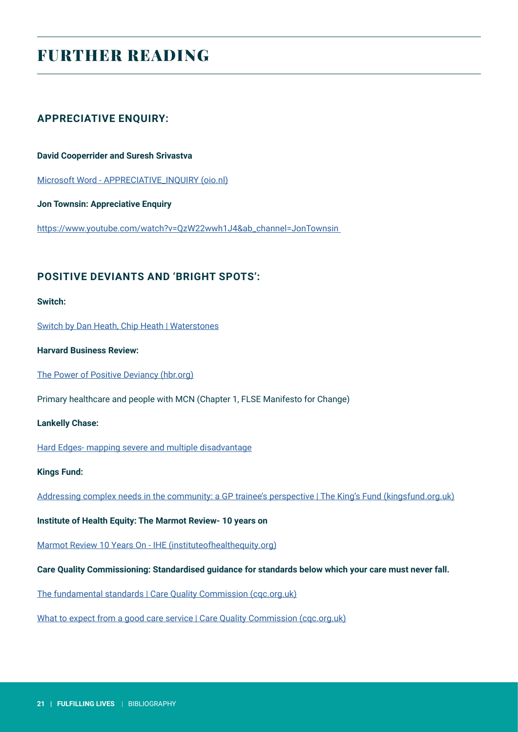# FURTHER READING

### **APPRECIATIVE ENQUIRY:**

#### **David Cooperrider and Suresh Srivastva**

[Microsoft Word - APPRECIATIVE\\_INQUIRY \(oio.nl\)](https://www.oio.nl/wp-content/uploads/APPRECIATIVE_INQUIRY_IN_Orgnizational_life.pdf)

**Jon Townsin: Appreciative Enquiry**

[https://www.youtube.com/watch?v=QzW22wwh1J4&ab\\_channel=JonTownsin](https://www.youtube.com/watch?v=QzW22wwh1J4&ab_channel=JonTownsin) 

### **POSITIVE DEVIANTS AND 'BRIGHT SPOTS':**

### **Switch:**

[Switch by Dan Heath, Chip Heath | Waterstones](https://www.waterstones.com/book/switch/dan-heath/chip-heath/9781847940322)

**Harvard Business Review:**

[The Power of Positive Deviancy \(hbr.org\)](https://hbr.org/2000/01/the-power-of-positive-deviancy)

Primary healthcare and people with MCN (Chapter 1, FLSE Manifesto for Change)

#### **Lankelly Chase:**

[Hard Edges- mapping severe and multiple disadvantage](https://lankellychase.org.uk/wp-content/uploads/2015/07/Hard-Edges-Mapping-SMD-2015.pdf)

#### **Kings Fund:**

[Addressing complex needs in the community: a GP trainee's perspective | The King's Fund \(kingsfund.org.uk\)](https://www.kingsfund.org.uk/blog/2021/11/addressing-complex-needs-community-gp-trainees-perspective)

**Institute of Health Equity: The Marmot Review- 10 years on**

[Marmot Review 10 Years On - IHE \(instituteofhealthequity.org\)](https://www.instituteofhealthequity.org/resources-reports/marmot-review-10-years-on)

**Care Quality Commissioning: Standardised guidance for standards below which your care must never fall.**

[The fundamental standards | Care Quality Commission \(cqc.org.uk\)](https://www.cqc.org.uk/what-we-do/how-we-do-our-job/fundamental-standards)

[What to expect from a good care service | Care Quality Commission \(cqc.org.uk\)](https://www.cqc.org.uk/help-advice/what-expect-good-care-services/what-expect-good-care-service)